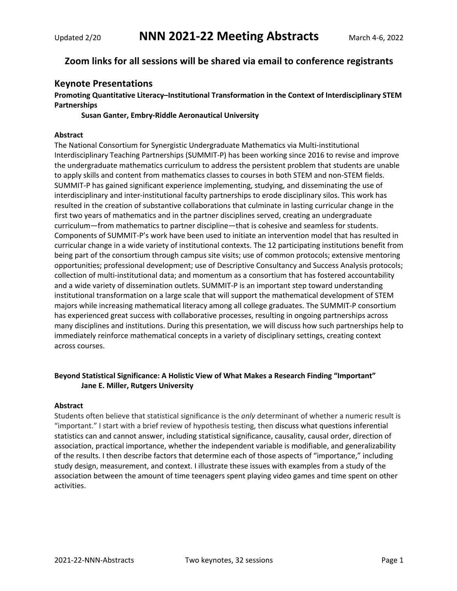# **Zoom links for all sessions will be shared via email to conference registrants**

# **Keynote Presentations**

# **Promoting Quantitative Literacy–Institutional Transformation in the Context of Interdisciplinary STEM Partnerships**

**Susan Ganter, Embry-Riddle Aeronautical University**

# **Abstract**

The National Consortium for Synergistic Undergraduate Mathematics via Multi-institutional Interdisciplinary Teaching Partnerships (SUMMIT-P) has been working since 2016 to revise and improve the undergraduate mathematics curriculum to address the persistent problem that students are unable to apply skills and content from mathematics classes to courses in both STEM and non-STEM fields. SUMMIT-P has gained significant experience implementing, studying, and disseminating the use of interdisciplinary and inter-institutional faculty partnerships to erode disciplinary silos. This work has resulted in the creation of substantive collaborations that culminate in lasting curricular change in the first two years of mathematics and in the partner disciplines served, creating an undergraduate curriculum—from mathematics to partner discipline—that is cohesive and seamless for students. Components of SUMMIT-P's work have been used to initiate an intervention model that has resulted in curricular change in a wide variety of institutional contexts. The 12 participating institutions benefit from being part of the consortium through campus site visits; use of common protocols; extensive mentoring opportunities; professional development; use of Descriptive Consultancy and Success Analysis protocols; collection of multi-institutional data; and momentum as a consortium that has fostered accountability and a wide variety of dissemination outlets. SUMMIT-P is an important step toward understanding institutional transformation on a large scale that will support the mathematical development of STEM majors while increasing mathematical literacy among all college graduates. The SUMMIT-P consortium has experienced great success with collaborative processes, resulting in ongoing partnerships across many disciplines and institutions. During this presentation, we will discuss how such partnerships help to immediately reinforce mathematical concepts in a variety of disciplinary settings, creating context across courses.

# **Beyond Statistical Significance: A Holistic View of What Makes a Research Finding "Important" Jane E. Miller, Rutgers University**

## **Abstract**

Students often believe that statistical significance is the *only* determinant of whether a numeric result is "important." I start with a brief review of hypothesis testing, then discuss what questions inferential statistics can and cannot answer, including statistical significance, causality, causal order, direction of association, practical importance, whether the independent variable is modifiable, and generalizability of the results. I then describe factors that determine each of those aspects of "importance," including study design, measurement, and context. I illustrate these issues with examples from a study of the association between the amount of time teenagers spent playing video games and time spent on other activities.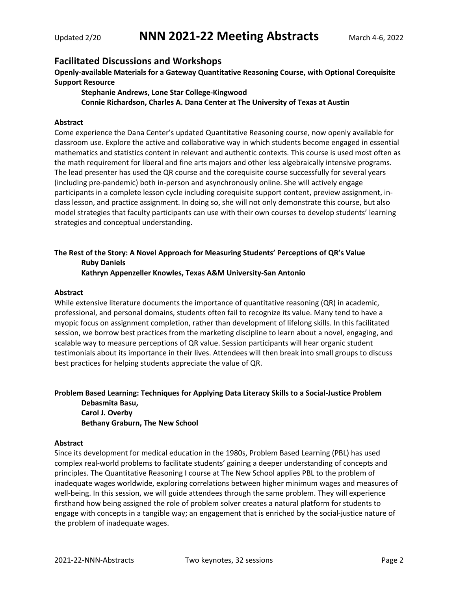# **Facilitated Discussions and Workshops**

**Openly-available Materials for a Gateway Quantitative Reasoning Course, with Optional Corequisite Support Resource**

**Stephanie Andrews, Lone Star College-Kingwood Connie Richardson, Charles A. Dana Center at The University of Texas at Austin**

## **Abstract**

Come experience the Dana Center's updated Quantitative Reasoning course, now openly available for classroom use. Explore the active and collaborative way in which students become engaged in essential mathematics and statistics content in relevant and authentic contexts. This course is used most often as the math requirement for liberal and fine arts majors and other less algebraically intensive programs. The lead presenter has used the QR course and the corequisite course successfully for several years (including pre-pandemic) both in-person and asynchronously online. She will actively engage participants in a complete lesson cycle including corequisite support content, preview assignment, inclass lesson, and practice assignment. In doing so, she will not only demonstrate this course, but also model strategies that faculty participants can use with their own courses to develop students' learning strategies and conceptual understanding.

# **The Rest of the Story: A Novel Approach for Measuring Students' Perceptions of QR's Value Ruby Daniels Kathryn Appenzeller Knowles, Texas A&M University-San Antonio**

## **Abstract**

While extensive literature documents the importance of quantitative reasoning (QR) in academic, professional, and personal domains, students often fail to recognize its value. Many tend to have a myopic focus on assignment completion, rather than development of lifelong skills. In this facilitated session, we borrow best practices from the marketing discipline to learn about a novel, engaging, and scalable way to measure perceptions of QR value. Session participants will hear organic student testimonials about its importance in their lives. Attendees will then break into small groups to discuss best practices for helping students appreciate the value of QR.

## **Problem Based Learning: Techniques for Applying Data Literacy Skills to a Social-Justice Problem**

**Debasmita Basu, Carol J. Overby Bethany Graburn, The New School**

## **Abstract**

Since its development for medical education in the 1980s, Problem Based Learning (PBL) has used complex real-world problems to facilitate students' gaining a deeper understanding of concepts and principles. The Quantitative Reasoning I course at The New School applies PBL to the problem of inadequate wages worldwide, exploring correlations between higher minimum wages and measures of well-being. In this session, we will guide attendees through the same problem. They will experience firsthand how being assigned the role of problem solver creates a natural platform for students to engage with concepts in a tangible way; an engagement that is enriched by the social-justice nature of the problem of inadequate wages.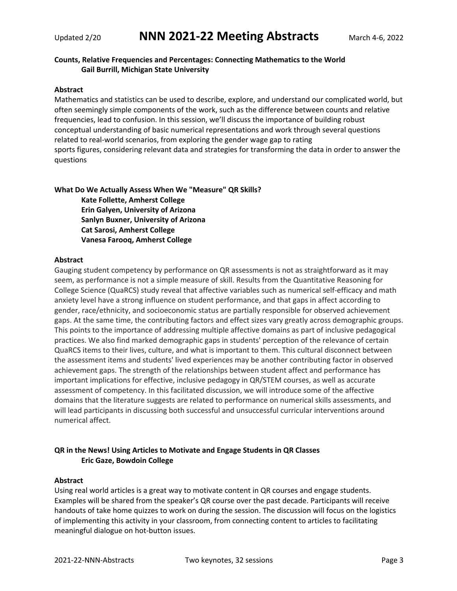# **Counts, Relative Frequencies and Percentages: Connecting Mathematics to the World Gail Burrill, Michigan State University**

## **Abstract**

Mathematics and statistics can be used to describe, explore, and understand our complicated world, but often seemingly simple components of the work, such as the difference between counts and relative frequencies, lead to confusion. In this session, we'll discuss the importance of building robust conceptual understanding of basic numerical representations and work through several questions related to real-world scenarios, from exploring the gender wage gap to rating sports figures, considering relevant data and strategies for transforming the data in order to answer the questions

## **What Do We Actually Assess When We "Measure" QR Skills?**

**Kate Follette, Amherst College Erin Galyen, University of Arizona Sanlyn Buxner, University of Arizona Cat Sarosi, Amherst College Vanesa Farooq, Amherst College**

## **Abstract**

Gauging student competency by performance on QR assessments is not as straightforward as it may seem, as performance is not a simple measure of skill. Results from the Quantitative Reasoning for College Science (QuaRCS) study reveal that affective variables such as numerical self-efficacy and math anxiety level have a strong influence on student performance, and that gaps in affect according to gender, race/ethnicity, and socioeconomic status are partially responsible for observed achievement gaps. At the same time, the contributing factors and effect sizes vary greatly across demographic groups. This points to the importance of addressing multiple affective domains as part of inclusive pedagogical practices. We also find marked demographic gaps in students' perception of the relevance of certain QuaRCS items to their lives, culture, and what is important to them. This cultural disconnect between the assessment items and students' lived experiences may be another contributing factor in observed achievement gaps. The strength of the relationships between student affect and performance has important implications for effective, inclusive pedagogy in QR/STEM courses, as well as accurate assessment of competency. In this facilitated discussion, we will introduce some of the affective domains that the literature suggests are related to performance on numerical skills assessments, and will lead participants in discussing both successful and unsuccessful curricular interventions around numerical affect.

# **QR in the News! Using Articles to Motivate and Engage Students in QR Classes Eric Gaze, Bowdoin College**

## **Abstract**

Using real world articles is a great way to motivate content in QR courses and engage students. Examples will be shared from the speaker's QR course over the past decade. Participants will receive handouts of take home quizzes to work on during the session. The discussion will focus on the logistics of implementing this activity in your classroom, from connecting content to articles to facilitating meaningful dialogue on hot-button issues.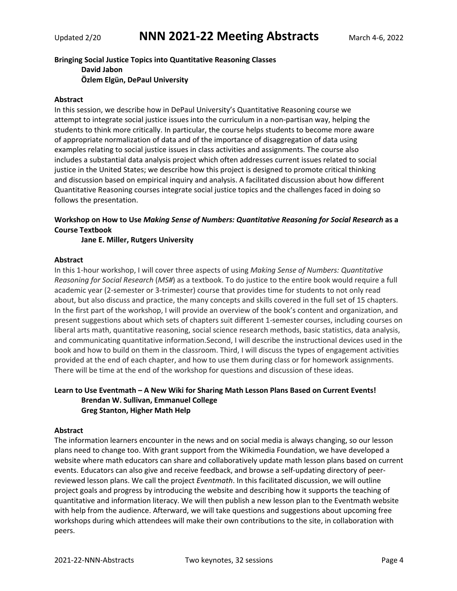**Bringing Social Justice Topics into Quantitative Reasoning Classes David Jabon Özlem Elgün, DePaul University**

## **Abstract**

In this session, we describe how in DePaul University's Quantitative Reasoning course we attempt to integrate social justice issues into the curriculum in a non-partisan way, helping the students to think more critically. In particular, the course helps students to become more aware of appropriate normalization of data and of the importance of disaggregation of data using examples relating to social justice issues in class activities and assignments. The course also includes a substantial data analysis project which often addresses current issues related to social justice in the United States; we describe how this project is designed to promote critical thinking and discussion based on empirical inquiry and analysis. A facilitated discussion about how different Quantitative Reasoning courses integrate social justice topics and the challenges faced in doing so follows the presentation.

# **Workshop on How to Use** *Making Sense of Numbers: Quantitative Reasoning for Social Research* **as a Course Textbook**

**Jane E. Miller, Rutgers University**

## **Abstract**

In this 1-hour workshop, I will cover three aspects of using *Making Sense of Numbers: Quantitative Reasoning for Social Research* (*MS#*) as a textbook. To do justice to the entire book would require a full academic year (2-semester or 3-trimester) course that provides time for students to not only read about, but also discuss and practice, the many concepts and skills covered in the full set of 15 chapters. In the first part of the workshop, I will provide an overview of the book's content and organization, and present suggestions about which sets of chapters suit different 1-semester courses, including courses on liberal arts math, quantitative reasoning, social science research methods, basic statistics, data analysis, and communicating quantitative information.Second, I will describe the instructional devices used in the book and how to build on them in the classroom. Third, I will discuss the types of engagement activities provided at the end of each chapter, and how to use them during class or for homework assignments. There will be time at the end of the workshop for questions and discussion of these ideas.

# **Learn to Use Eventmath – A New Wiki for Sharing Math Lesson Plans Based on Current Events! Brendan W. Sullivan, Emmanuel College Greg Stanton, Higher Math Help**

## **Abstract**

The information learners encounter in the news and on social media is always changing, so our lesson plans need to change too. With grant support from the Wikimedia Foundation, we have developed a website where math educators can share and collaboratively update math lesson plans based on current events. Educators can also give and receive feedback, and browse a self-updating directory of peerreviewed lesson plans. We call the project *Eventmath*. In this facilitated discussion, we will outline project goals and progress by introducing the website and describing how it supports the teaching of quantitative and information literacy. We will then publish a new lesson plan to the Eventmath website with help from the audience. Afterward, we will take questions and suggestions about upcoming free workshops during which attendees will make their own contributions to the site, in collaboration with peers.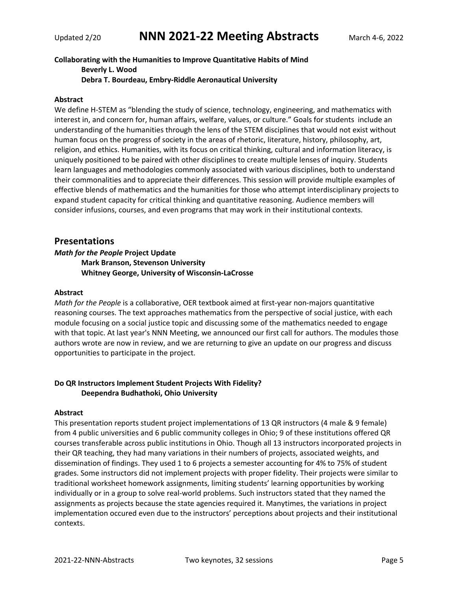# **Collaborating with the Humanities to Improve Quantitative Habits of Mind Beverly L. Wood Debra T. Bourdeau, Embry-Riddle Aeronautical University**

## **Abstract**

We define H-STEM as "blending the study of science, technology, engineering, and mathematics with interest in, and concern for, human affairs, welfare, values, or culture." Goals for students include an understanding of the humanities through the lens of the STEM disciplines that would not exist without human focus on the progress of society in the areas of rhetoric, literature, history, philosophy, art, religion, and ethics. Humanities, with its focus on critical thinking, cultural and information literacy, is uniquely positioned to be paired with other disciplines to create multiple lenses of inquiry. Students learn languages and methodologies commonly associated with various disciplines, both to understand their commonalities and to appreciate their differences. This session will provide multiple examples of effective blends of mathematics and the humanities for those who attempt interdisciplinary projects to expand student capacity for critical thinking and quantitative reasoning. Audience members will consider infusions, courses, and even programs that may work in their institutional contexts.

## **Presentations**

# *Math for the People* **Project Update Mark Branson, Stevenson University Whitney George, University of Wisconsin-LaCrosse**

## **Abstract**

*Math for the People* is a collaborative, OER textbook aimed at first-year non-majors quantitative reasoning courses. The text approaches mathematics from the perspective of social justice, with each module focusing on a social justice topic and discussing some of the mathematics needed to engage with that topic. At last year's NNN Meeting, we announced our first call for authors. The modules those authors wrote are now in review, and we are returning to give an update on our progress and discuss opportunities to participate in the project.

## **Do QR Instructors Implement Student Projects With Fidelity? Deependra Budhathoki, Ohio University**

#### **Abstract**

This presentation reports student project implementations of 13 QR instructors (4 male & 9 female) from 4 public universities and 6 public community colleges in Ohio; 9 of these institutions offered QR courses transferable across public institutions in Ohio. Though all 13 instructors incorporated projects in their QR teaching, they had many variations in their numbers of projects, associated weights, and dissemination of findings. They used 1 to 6 projects a semester accounting for 4% to 75% of student grades. Some instructors did not implement projects with proper fidelity. Their projects were similar to traditional worksheet homework assignments, limiting students' learning opportunities by working individually or in a group to solve real-world problems. Such instructors stated that they named the assignments as projects because the state agencies required it. Manytimes, the variations in project implementation occured even due to the instructors' perceptions about projects and their institutional contexts.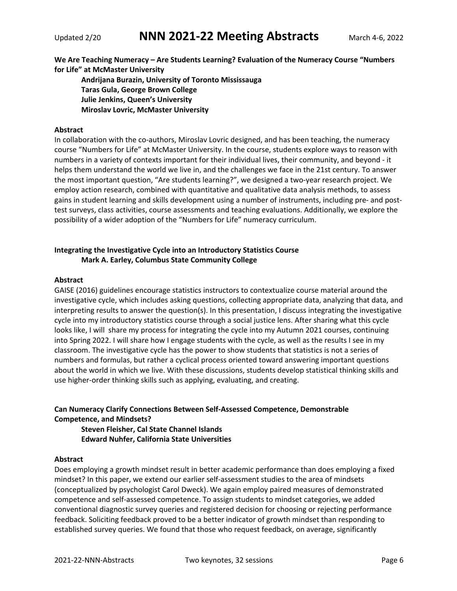**We Are Teaching Numeracy – Are Students Learning? Evaluation of the Numeracy Course "Numbers for Life" at McMaster University**

**Andrijana Burazin, University of Toronto Mississauga Taras Gula, George Brown College Julie Jenkins, Queen's University Miroslav Lovric, McMaster University**

## **Abstract**

In collaboration with the co-authors, Miroslav Lovric designed, and has been teaching, the numeracy course "Numbers for Life" at McMaster University. In the course, students explore ways to reason with numbers in a variety of contexts important for their individual lives, their community, and beyond - it helps them understand the world we live in, and the challenges we face in the 21st century. To answer the most important question, "Are students learning?", we designed a two-year research project. We employ action research, combined with quantitative and qualitative data analysis methods, to assess gains in student learning and skills development using a number of instruments, including pre- and posttest surveys, class activities, course assessments and teaching evaluations. Additionally, we explore the possibility of a wider adoption of the "Numbers for Life" numeracy curriculum.

## **Integrating the Investigative Cycle into an Introductory Statistics Course Mark A. Earley, Columbus State Community College**

## **Abstract**

GAISE (2016) guidelines encourage statistics instructors to contextualize course material around the investigative cycle, which includes asking questions, collecting appropriate data, analyzing that data, and interpreting results to answer the question(s). In this presentation, I discuss integrating the investigative cycle into my introductory statistics course through a social justice lens. After sharing what this cycle looks like, I will share my process for integrating the cycle into my Autumn 2021 courses, continuing into Spring 2022. I will share how I engage students with the cycle, as well as the results I see in my classroom. The investigative cycle has the power to show students that statistics is not a series of numbers and formulas, but rather a cyclical process oriented toward answering important questions about the world in which we live. With these discussions, students develop statistical thinking skills and use higher-order thinking skills such as applying, evaluating, and creating.

# **Can Numeracy Clarify Connections Between Self-Assessed Competence, Demonstrable Competence, and Mindsets?**

**Steven Fleisher, Cal State Channel Islands Edward Nuhfer, California State Universities**

## **Abstract**

Does employing a growth mindset result in better academic performance than does employing a fixed mindset? In this paper, we extend our earlier self-assessment studies to the area of mindsets (conceptualized by psychologist Carol Dweck). We again employ paired measures of demonstrated competence and self-assessed competence. To assign students to mindset categories, we added conventional diagnostic survey queries and registered decision for choosing or rejecting performance feedback. Soliciting feedback proved to be a better indicator of growth mindset than responding to established survey queries. We found that those who request feedback, on average, significantly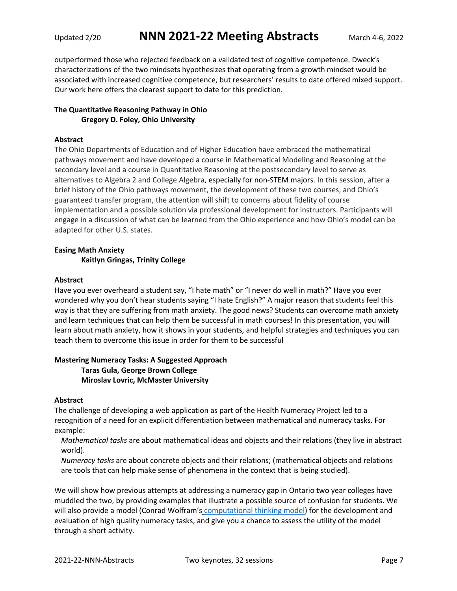outperformed those who rejected feedback on a validated test of cognitive competence. Dweck's characterizations of the two mindsets hypothesizes that operating from a growth mindset would be associated with increased cognitive competence, but researchers' results to date offered mixed support. Our work here offers the clearest support to date for this prediction.

# **The Quantitative Reasoning Pathway in Ohio Gregory D. Foley, Ohio University**

## **Abstract**

The Ohio Departments of Education and of Higher Education have embraced the mathematical pathways movement and have developed a course in Mathematical Modeling and Reasoning at the secondary level and a course in Quantitative Reasoning at the postsecondary level to serve as alternatives to Algebra 2 and College Algebra, especially for non-STEM majors. In this session, after a brief history of the Ohio pathways movement, the development of these two courses, and Ohio's guaranteed transfer program, the attention will shift to concerns about fidelity of course implementation and a possible solution via professional development for instructors. Participants will engage in a discussion of what can be learned from the Ohio experience and how Ohio's model can be adapted for other U.S. states.

# **Easing Math Anxiety Kaitlyn Gringas, Trinity College**

## **Abstract**

Have you ever overheard a student say, "I hate math" or "I never do well in math?" Have you ever wondered why you don't hear students saying "I hate English?" A major reason that students feel this way is that they are suffering from math anxiety. The good news? Students can overcome math anxiety and learn techniques that can help them be successful in math courses! In this presentation, you will learn about math anxiety, how it shows in your students, and helpful strategies and techniques you can teach them to overcome this issue in order for them to be successful

## **Mastering Numeracy Tasks: A Suggested Approach Taras Gula, George Brown College Miroslav Lovric, McMaster University**

## **Abstract**

The challenge of developing a web application as part of the Health Numeracy Project led to a recognition of a need for an explicit differentiation between mathematical and numeracy tasks. For example:

*Mathematical tasks* are about mathematical ideas and objects and their relations (they live in abstract world).

*Numeracy tasks* are about concrete objects and their relations; (mathematical objects and relations are tools that can help make sense of phenomena in the context that is being studied).

We will show how previous attempts at addressing a numeracy gap in Ontario two year colleges have muddled the two, by providing examples that illustrate a possible source of confusion for students. We will also provide a model (Conrad Wolfram's computational thinking model) for the development and evaluation of high quality numeracy tasks, and give you a chance to assess the utility of the model through a short activity.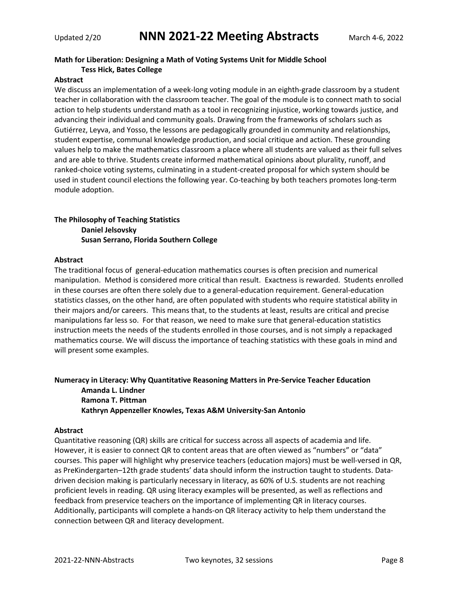# **Math for Liberation: Designing a Math of Voting Systems Unit for Middle School Tess Hick, Bates College**

## **Abstract**

We discuss an implementation of a week-long voting module in an eighth-grade classroom by a student teacher in collaboration with the classroom teacher. The goal of the module is to connect math to social action to help students understand math as a tool in recognizing injustice, working towards justice, and advancing their individual and community goals. Drawing from the frameworks of scholars such as Gutiérrez, Leyva, and Yosso, the lessons are pedagogically grounded in community and relationships, student expertise, communal knowledge production, and social critique and action. These grounding values help to make the mathematics classroom a place where all students are valued as their full selves and are able to thrive. Students create informed mathematical opinions about plurality, runoff, and ranked-choice voting systems, culminating in a student-created proposal for which system should be used in student council elections the following year. Co-teaching by both teachers promotes long-term module adoption.

# **The Philosophy of Teaching Statistics Daniel Jelsovsky Susan Serrano, Florida Southern College**

## **Abstract**

The traditional focus of general-education mathematics courses is often precision and numerical manipulation. Method is considered more critical than result. Exactness is rewarded. Students enrolled in these courses are often there solely due to a general-education requirement. General-education statistics classes, on the other hand, are often populated with students who require statistical ability in their majors and/or careers. This means that, to the students at least, results are critical and precise manipulations far less so. For that reason, we need to make sure that general-education statistics instruction meets the needs of the students enrolled in those courses, and is not simply a repackaged mathematics course. We will discuss the importance of teaching statistics with these goals in mind and will present some examples.

# **Numeracy in Literacy: Why Quantitative Reasoning Matters in Pre-Service Teacher Education Amanda L. Lindner Ramona T. Pittman Kathryn Appenzeller Knowles, Texas A&M University-San Antonio**

# **Abstract**

Quantitative reasoning (QR) skills are critical for success across all aspects of academia and life. However, it is easier to connect QR to content areas that are often viewed as "numbers" or "data" courses. This paper will highlight why preservice teachers (education majors) must be well-versed in QR, as PreKindergarten–12th grade students' data should inform the instruction taught to students. Datadriven decision making is particularly necessary in literacy, as 60% of U.S. students are not reaching proficient levels in reading. QR using literacy examples will be presented, as well as reflections and feedback from preservice teachers on the importance of implementing QR in literacy courses. Additionally, participants will complete a hands-on QR literacy activity to help them understand the connection between QR and literacy development.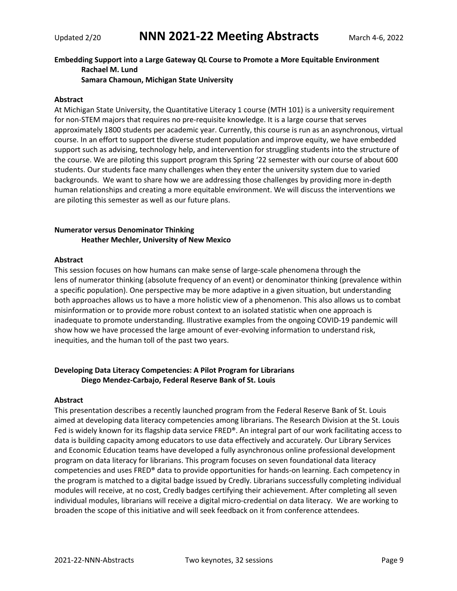# **Embedding Support into a Large Gateway QL Course to Promote a More Equitable Environment Rachael M. Lund**

**Samara Chamoun, Michigan State University**

## **Abstract**

At Michigan State University, the Quantitative Literacy 1 course (MTH 101) is a university requirement for non-STEM majors that requires no pre-requisite knowledge. It is a large course that serves approximately 1800 students per academic year. Currently, this course is run as an asynchronous, virtual course. In an effort to support the diverse student population and improve equity, we have embedded support such as advising, technology help, and intervention for struggling students into the structure of the course. We are piloting this support program this Spring '22 semester with our course of about 600 students. Our students face many challenges when they enter the university system due to varied backgrounds. We want to share how we are addressing those challenges by providing more in-depth human relationships and creating a more equitable environment. We will discuss the interventions we are piloting this semester as well as our future plans.

# **Numerator versus Denominator Thinking Heather Mechler, University of New Mexico**

## **Abstract**

This session focuses on how humans can make sense of large-scale phenomena through the lens of numerator thinking (absolute frequency of an event) or denominator thinking (prevalence within a specific population). One perspective may be more adaptive in a given situation, but understanding both approaches allows us to have a more holistic view of a phenomenon. This also allows us to combat misinformation or to provide more robust context to an isolated statistic when one approach is inadequate to promote understanding. Illustrative examples from the ongoing COVID-19 pandemic will show how we have processed the large amount of ever-evolving information to understand risk, inequities, and the human toll of the past two years.

# **Developing Data Literacy Competencies: A Pilot Program for Librarians Diego Mendez-Carbajo, Federal Reserve Bank of St. Louis**

## **Abstract**

This presentation describes a recently launched program from the Federal Reserve Bank of St. Louis aimed at developing data literacy competencies among librarians. The Research Division at the St. Louis Fed is widely known for its flagship data service FRED®. An integral part of our work facilitating access to data is building capacity among educators to use data effectively and accurately. Our Library Services and Economic Education teams have developed a fully asynchronous online professional development program on data literacy for librarians. This program focuses on seven foundational data literacy competencies and uses FRED® data to provide opportunities for hands-on learning. Each competency in the program is matched to a digital badge issued by Credly. Librarians successfully completing individual modules will receive, at no cost, Credly badges certifying their achievement. After completing all seven individual modules, librarians will receive a digital micro-credential on data literacy. We are working to broaden the scope of this initiative and will seek feedback on it from conference attendees.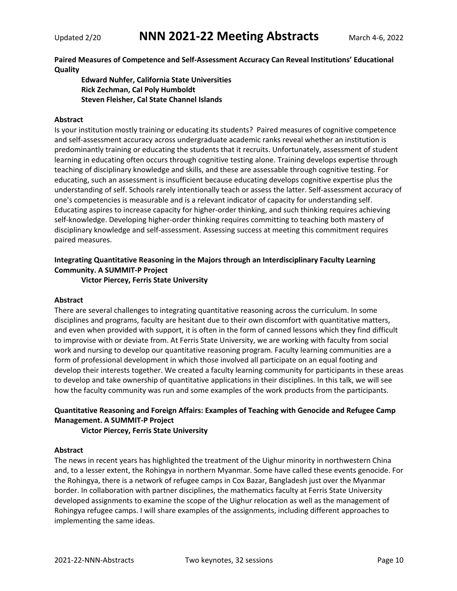**Paired Measures of Competence and Self-Assessment Accuracy Can Reveal Institutions' Educational Quality**

**Edward Nuhfer, California State Universities Rick Zechman, Cal Poly Humboldt Steven Fleisher, Cal State Channel Islands**

## **Abstract**

Is your institution mostly training or educating its students? Paired measures of cognitive competence and self-assessment accuracy across undergraduate academic ranks reveal whether an institution is predominantly training or educating the students that it recruits. Unfortunately, assessment of student learning in educating often occurs through cognitive testing alone. Training develops expertise through teaching of disciplinary knowledge and skills, and these are assessable through cognitive testing. For educating, such an assessment is insufficient because educating develops cognitive expertise plus the understanding of self. Schools rarely intentionally teach or assess the latter. Self-assessment accuracy of one's competencies is measurable and is a relevant indicator of capacity for understanding self. Educating aspires to increase capacity for higher-order thinking, and such thinking requires achieving self-knowledge. Developing higher-order thinking requires committing to teaching both mastery of disciplinary knowledge and self-assessment. Assessing success at meeting this commitment requires paired measures.

# **Integrating Quantitative Reasoning in the Majors through an Interdisciplinary Faculty Learning Community. A SUMMIT-P Project**

**Victor Piercey, Ferris State University**

## **Abstract**

There are several challenges to integrating quantitative reasoning across the curriculum. In some disciplines and programs, faculty are hesitant due to their own discomfort with quantitative matters, and even when provided with support, it is often in the form of canned lessons which they find difficult to improvise with or deviate from. At Ferris State University, we are working with faculty from social work and nursing to develop our quantitative reasoning program. Faculty learning communities are a form of professional development in which those involved all participate on an equal footing and develop their interests together. We created a faculty learning community for participants in these areas to develop and take ownership of quantitative applications in their disciplines. In this talk, we will see how the faculty community was run and some examples of the work products from the participants.

# **Quantitative Reasoning and Foreign Affairs: Examples of Teaching with Genocide and Refugee Camp Management. A SUMMIT-P Project**

## **Victor Piercey, Ferris State University**

## **Abstract**

The news in recent years has highlighted the treatment of the Uighur minority in northwestern China and, to a lesser extent, the Rohingya in northern Myanmar. Some have called these events genocide. For the Rohingya, there is a network of refugee camps in Cox Bazar, Bangladesh just over the Myanmar border. In collaboration with partner disciplines, the mathematics faculty at Ferris State University developed assignments to examine the scope of the Uighur relocation as well as the management of Rohingya refugee camps. I will share examples of the assignments, including different approaches to implementing the same ideas.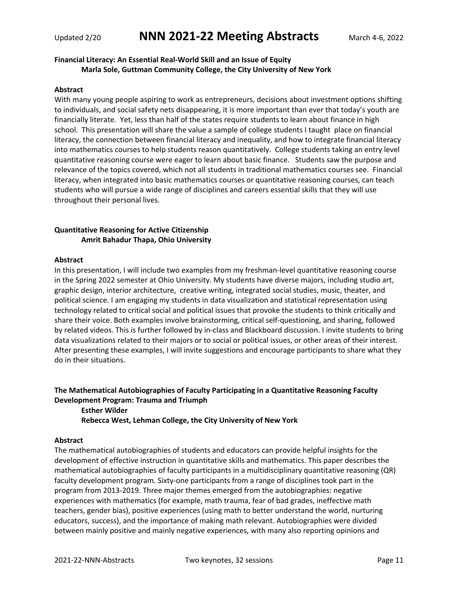# **Financial Literacy: An Essential Real-World Skill and an Issue of Equity Marla Sole, Guttman Community College, the City University of New York**

#### **Abstract**

With many young people aspiring to work as entrepreneurs, decisions about investment options shifting to individuals, and social safety nets disappearing, it is more important than ever that today's youth are financially literate. Yet, less than half of the states require students to learn about finance in high school. This presentation will share the value a sample of college students I taught place on financial literacy, the connection between financial literacy and inequality, and how to integrate financial literacy into mathematics courses to help students reason quantitatively. College students taking an entry level quantitative reasoning course were eager to learn about basic finance. Students saw the purpose and relevance of the topics covered, which not all students in traditional mathematics courses see. Financial literacy, when integrated into basic mathematics courses or quantitative reasoning courses, can teach students who will pursue a wide range of disciplines and careers essential skills that they will use throughout their personal lives.

# **Quantitative Reasoning for Active Citizenship Amrit Bahadur Thapa, Ohio University**

#### **Abstract**

In this presentation, I will include two examples from my freshman-level quantitative reasoning course in the Spring 2022 semester at Ohio University. My students have diverse majors, including studio art, graphic design, interior architecture, creative writing, integrated social studies, music, theater, and political science. I am engaging my students in data visualization and statistical representation using technology related to critical social and political issues that provoke the students to think critically and share their voice. Both examples involve brainstorming, critical self-questioning, and sharing, followed by related videos. This is further followed by in-class and Blackboard discussion. I invite students to bring data visualizations related to their majors or to social or political issues, or other areas of their interest. After presenting these examples, I will invite suggestions and encourage participants to share what they do in their situations.

# **The Mathematical Autobiographies of Faculty Participating in a Quantitative Reasoning Faculty Development Program: Trauma and Triumph**

**Esther Wilder Rebecca West, Lehman College, the City University of New York**

## **Abstract**

The mathematical autobiographies of students and educators can provide helpful insights for the development of effective instruction in quantitative skills and mathematics. This paper describes the mathematical autobiographies of faculty participants in a multidisciplinary quantitative reasoning (QR) faculty development program. Sixty-one participants from a range of disciplines took part in the program from 2013-2019. Three major themes emerged from the autobiographies: negative experiences with mathematics (for example, math trauma, fear of bad grades, ineffective math teachers, gender bias), positive experiences (using math to better understand the world, nurturing educators, success), and the importance of making math relevant. Autobiographies were divided between mainly positive and mainly negative experiences, with many also reporting opinions and